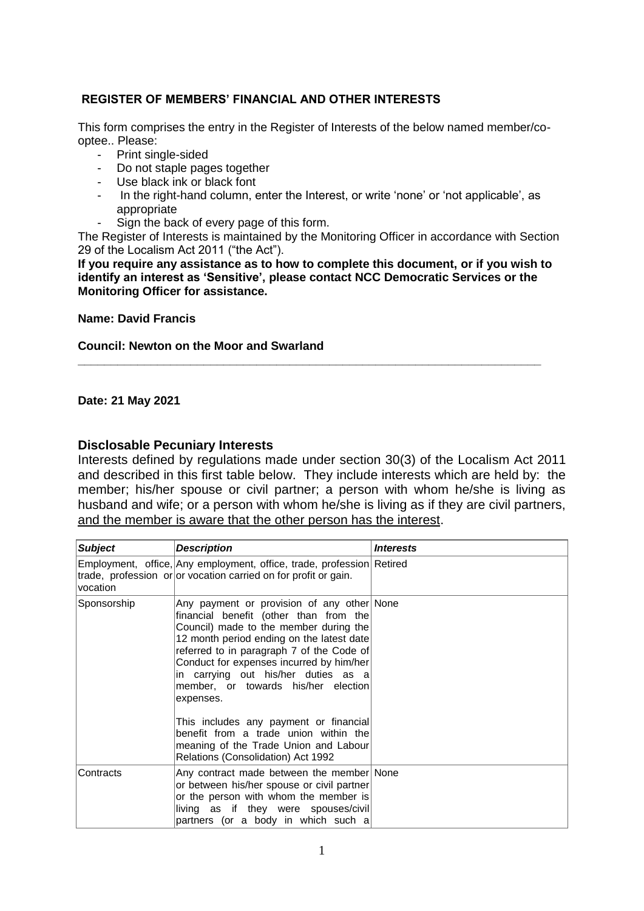## **REGISTER OF MEMBERS' FINANCIAL AND OTHER INTERESTS**

This form comprises the entry in the Register of Interests of the below named member/cooptee.. Please:

- Print single-sided
- Do not staple pages together
- Use black ink or black font
- In the right-hand column, enter the Interest, or write 'none' or 'not applicable', as appropriate
- Sign the back of every page of this form.

The Register of Interests is maintained by the Monitoring Officer in accordance with Section 29 of the Localism Act 2011 ("the Act").

**If you require any assistance as to how to complete this document, or if you wish to identify an interest as 'Sensitive', please contact NCC Democratic Services or the Monitoring Officer for assistance.** 

**\_\_\_\_\_\_\_\_\_\_\_\_\_\_\_\_\_\_\_\_\_\_\_\_\_\_\_\_\_\_\_\_\_\_\_\_\_\_\_\_\_\_\_\_\_\_\_\_\_\_\_\_\_\_\_\_\_\_\_\_\_\_\_\_\_\_\_\_\_\_** 

**Name: David Francis**

## **Council: Newton on the Moor and Swarland**

**Date: 21 May 2021**

## **Disclosable Pecuniary Interests**

Interests defined by regulations made under section 30(3) of the Localism Act 2011 and described in this first table below. They include interests which are held by: the member; his/her spouse or civil partner; a person with whom he/she is living as husband and wife; or a person with whom he/she is living as if they are civil partners, and the member is aware that the other person has the interest.

| <b>Subject</b> | <b>Description</b>                                                                                                                                                                                                                                                                                                                                                                                                                                                                                                                | <i><b>Interests</b></i> |
|----------------|-----------------------------------------------------------------------------------------------------------------------------------------------------------------------------------------------------------------------------------------------------------------------------------------------------------------------------------------------------------------------------------------------------------------------------------------------------------------------------------------------------------------------------------|-------------------------|
| vocation       | Employment, office, Any employment, office, trade, profession Retired<br>trade, profession or or vocation carried on for profit or gain.                                                                                                                                                                                                                                                                                                                                                                                          |                         |
| Sponsorship    | Any payment or provision of any other None<br>financial benefit (other than from the<br>Council) made to the member during the<br>12 month period ending on the latest date<br>referred to in paragraph 7 of the Code of<br>Conduct for expenses incurred by him/her<br>in carrying out his/her duties as a<br>member, or towards his/her election<br>expenses.<br>This includes any payment or financial<br>benefit from a trade union within the<br>meaning of the Trade Union and Labour<br>Relations (Consolidation) Act 1992 |                         |
| Contracts      | Any contract made between the member None<br>or between his/her spouse or civil partner<br>or the person with whom the member is<br>living as if they were spouses/civil<br>partners (or a body in which such a                                                                                                                                                                                                                                                                                                                   |                         |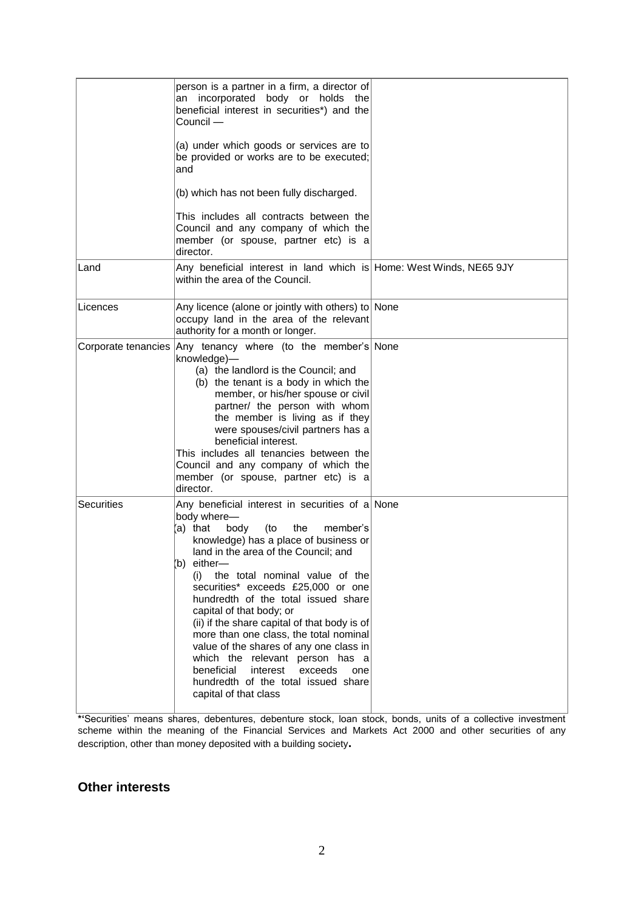|                   | person is a partner in a firm, a director of<br>an incorporated body or holds the<br>beneficial interest in securities*) and the<br>Council -<br>(a) under which goods or services are to<br>be provided or works are to be executed;<br>and<br>(b) which has not been fully discharged.<br>This includes all contracts between the<br>Council and any company of which the<br>member (or spouse, partner etc) is a<br>director.                                                                                                                                                                                                                     |  |
|-------------------|------------------------------------------------------------------------------------------------------------------------------------------------------------------------------------------------------------------------------------------------------------------------------------------------------------------------------------------------------------------------------------------------------------------------------------------------------------------------------------------------------------------------------------------------------------------------------------------------------------------------------------------------------|--|
| Land              | Any beneficial interest in land which is Home: West Winds, NE65 9JY<br>within the area of the Council.                                                                                                                                                                                                                                                                                                                                                                                                                                                                                                                                               |  |
| Licences          | Any licence (alone or jointly with others) to None<br>occupy land in the area of the relevant<br>authority for a month or longer.                                                                                                                                                                                                                                                                                                                                                                                                                                                                                                                    |  |
|                   | Corporate tenancies Any tenancy where (to the member's None<br>knowledge)-<br>(a) the landlord is the Council; and<br>(b) the tenant is a body in which the<br>member, or his/her spouse or civil<br>partner/ the person with whom<br>the member is living as if they<br>were spouses/civil partners has a<br>beneficial interest.<br>This includes all tenancies between the<br>Council and any company of which the<br>member (or spouse, partner etc) is a<br>director.                                                                                                                                                                           |  |
| <b>Securities</b> | Any beneficial interest in securities of $a $ None<br>body where-<br>(a) that<br>body<br>(to<br>the<br>member's<br>knowledge) has a place of business or<br>land in the area of the Council; and<br>b) either-<br>the total nominal value of the<br>(i)<br>securities* exceeds £25,000 or one<br>hundredth of the total issued share<br>capital of that body; or<br>(ii) if the share capital of that body is of<br>more than one class, the total nominal<br>value of the shares of any one class in<br>which the relevant person has a<br>beneficial<br>interest<br>exceeds<br>one<br>hundredth of the total issued share<br>capital of that class |  |

**\*'**Securities' means shares, debentures, debenture stock, loan stock, bonds, units of a collective investment scheme within the meaning of the Financial Services and Markets Act 2000 and other securities of any description, other than money deposited with a building society**.**

## **Other interests**